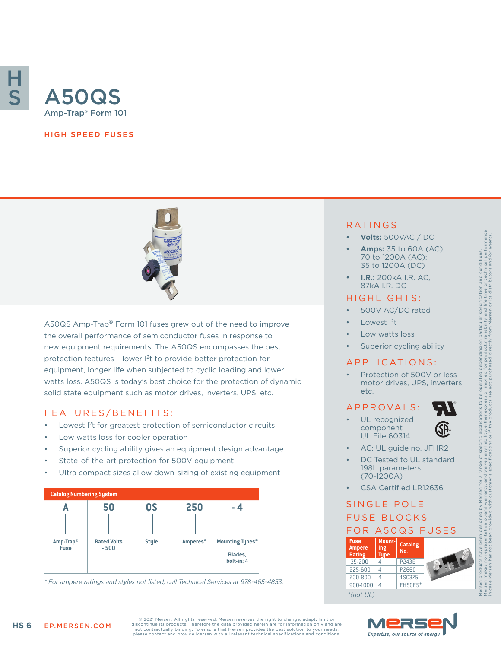

#### HIGH SPEED FUSES



A50QS Amp-Trap® Form 101 fuses grew out of the need to improve the overall performance of semiconductor fuses in response to new equipment requirements. The A50QS encompasses the best protection features – lower I2t to provide better protection for equipment, longer life when subjected to cyclic loading and lower watts loss. A50QS is today's best choice for the protection of dynamic solid state equipment such as motor drives, inverters, UPS, etc.

#### FEATURES/BENEFITS:

- Lowest I<sup>2</sup>t for greatest protection of semiconductor circuits
- Low watts loss for cooler operation
- Superior cycling ability gives an equipment design advantage
- State-of-the-art protection for 500V equipment
- Ultra compact sizes allow down-sizing of existing equipment



900-1000 4 FH50F5\* *\* For ampere ratings and styles not listed, call Technical Services at 978-465-4853.*

### RATINGS

- **• Volts:** 500VAC / DC
- **• Amps:** 35 to 60A (AC); 70 to 1200A (AC); 35 to 1200A (DC)
- **• I.R.:** 200kA I.R. AC, 87kA I.R. DC

#### HIGHLIGHTS:

- 500V AC/DC rated
- Lowest <sup>2</sup>t
- Low watts loss
- Superior cycling ability

#### APPLICATIONS:

Protection of 500V or less motor drives, UPS, inverters, etc.

#### A P P R OVA L S :





- UL recognized component UL File 60314
- 

Mersen products have been designed by Mersen for a range of specific applications to be operated depending on particular specification and conditions. Mersen makes no representation or/and warranty, and waives any liability, either express or implied for products' reliability and life time or technical performance in case Mersen has not been provided with customer's specifications or if the products are not purchased directly from Mersen or its distributors and/or agents.

cation and conditions.<br>time or technical performance<br>:s distributors and/or agents.

life t

- AC: UL guide no. JFHR2
- DC Tested to UL standard 198L parameters (70-1200A)
- CSA Certified LR12636

# SINGLE POLE FUSE BLOCKS





© 2021 Mersen. All rights reserved. Mersen reserves the right to change, adapt, limit or discontinue its products. Therefore the data provided herein are for information only and are not contractually binding. To ensure that Mersen provides the best solution to your needs, please contact and provide Mersen with all relevant technical specifications and conditions.